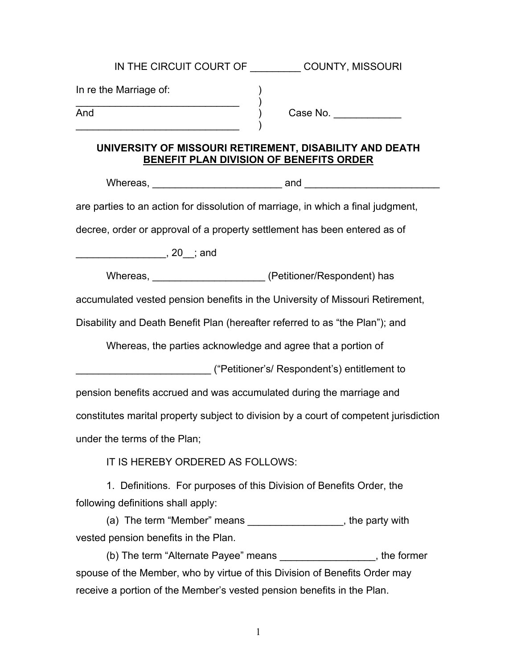| IN THE CIRCUIT COURT OF COUNTY, MISSOURI                                                                                     |  |
|------------------------------------------------------------------------------------------------------------------------------|--|
| In re the Marriage of:<br>$\begin{array}{c c} \text{\texttt{e} Marriage or:} & \hspace*{2.5cm} \\ \hline \end{array}$<br>And |  |
| UNIVERSITY OF MISSOURI RETIREMENT, DISABILITY AND DEATH<br>BENEFIT PLAN DIVISION OF BENEFITS ORDER                           |  |
|                                                                                                                              |  |
| are parties to an action for dissolution of marriage, in which a final judgment,                                             |  |
| decree, order or approval of a property settlement has been entered as of                                                    |  |
|                                                                                                                              |  |
|                                                                                                                              |  |
| accumulated vested pension benefits in the University of Missouri Retirement,                                                |  |
| Disability and Death Benefit Plan (hereafter referred to as "the Plan"); and                                                 |  |
| Whereas, the parties acknowledge and agree that a portion of                                                                 |  |
|                                                                                                                              |  |
| pension benefits accrued and was accumulated during the marriage and                                                         |  |
| constitutes marital property subject to division by a court of competent jurisdiction                                        |  |
| under the terms of the Plan;                                                                                                 |  |
| IT IS HEREBY ORDERED AS FOLLOWS:                                                                                             |  |
| 1. Definitions. For purposes of this Division of Benefits Order, the<br>following definitions shall apply:                   |  |
| (a) The term "Member" means ____________________, the party with                                                             |  |
| vested pension benefits in the Plan.                                                                                         |  |
| (b) The term "Alternate Payee" means ____________________, the former                                                        |  |
| spouse of the Member, who by virtue of this Division of Benefits Order may                                                   |  |
| receive a portion of the Member's vested pension benefits in the Plan.                                                       |  |

1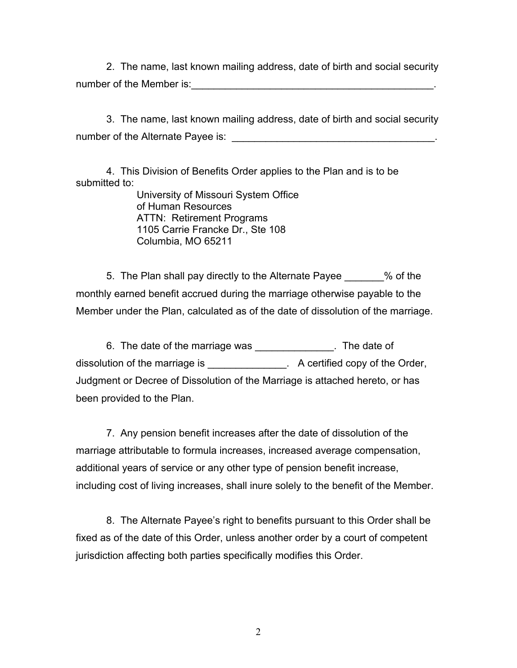2. The name, last known mailing address, date of birth and social security number of the Member is:  $\blacksquare$ 

3. The name, last known mailing address, date of birth and social security number of the Alternate Payee is:  $\blacksquare$ 

4. This Division of Benefits Order applies to the Plan and is to be submitted to:

University of Missouri System Office of Human Resources ATTN: Retirement Programs 1105 Carrie Francke Dr., Ste 108 Columbia, MO 65211

5. The Plan shall pay directly to the Alternate Payee  $\%$  of the monthly earned benefit accrued during the marriage otherwise payable to the Member under the Plan, calculated as of the date of dissolution of the marriage.

6. The date of the marriage was \_\_\_\_\_\_\_\_\_\_\_\_\_\_. The date of dissolution of the marriage is **A** certified copy of the Order, Judgment or Decree of Dissolution of the Marriage is attached hereto, or has been provided to the Plan.

7. Any pension benefit increases after the date of dissolution of the marriage attributable to formula increases, increased average compensation, additional years of service or any other type of pension benefit increase, including cost of living increases, shall inure solely to the benefit of the Member.

8. The Alternate Payee's right to benefits pursuant to this Order shall be fixed as of the date of this Order, unless another order by a court of competent jurisdiction affecting both parties specifically modifies this Order.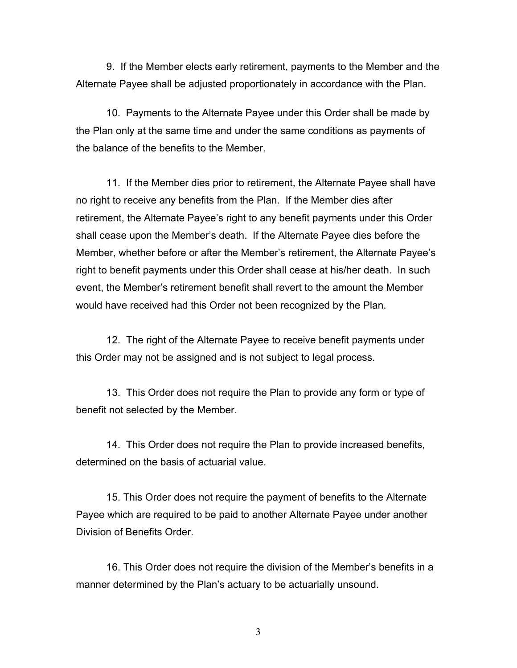9. If the Member elects early retirement, payments to the Member and the Alternate Payee shall be adjusted proportionately in accordance with the Plan.

10. Payments to the Alternate Payee under this Order shall be made by the Plan only at the same time and under the same conditions as payments of the balance of the benefits to the Member.

11. If the Member dies prior to retirement, the Alternate Payee shall have no right to receive any benefits from the Plan. If the Member dies after retirement, the Alternate Payee's right to any benefit payments under this Order shall cease upon the Member's death. If the Alternate Payee dies before the Member, whether before or after the Member's retirement, the Alternate Payee's right to benefit payments under this Order shall cease at his/her death. In such event, the Member's retirement benefit shall revert to the amount the Member would have received had this Order not been recognized by the Plan.

12. The right of the Alternate Payee to receive benefit payments under this Order may not be assigned and is not subject to legal process.

13. This Order does not require the Plan to provide any form or type of benefit not selected by the Member.

14. This Order does not require the Plan to provide increased benefits, determined on the basis of actuarial value.

15. This Order does not require the payment of benefits to the Alternate Payee which are required to be paid to another Alternate Payee under another Division of Benefits Order.

16. This Order does not require the division of the Member's benefits in a manner determined by the Plan's actuary to be actuarially unsound.

3